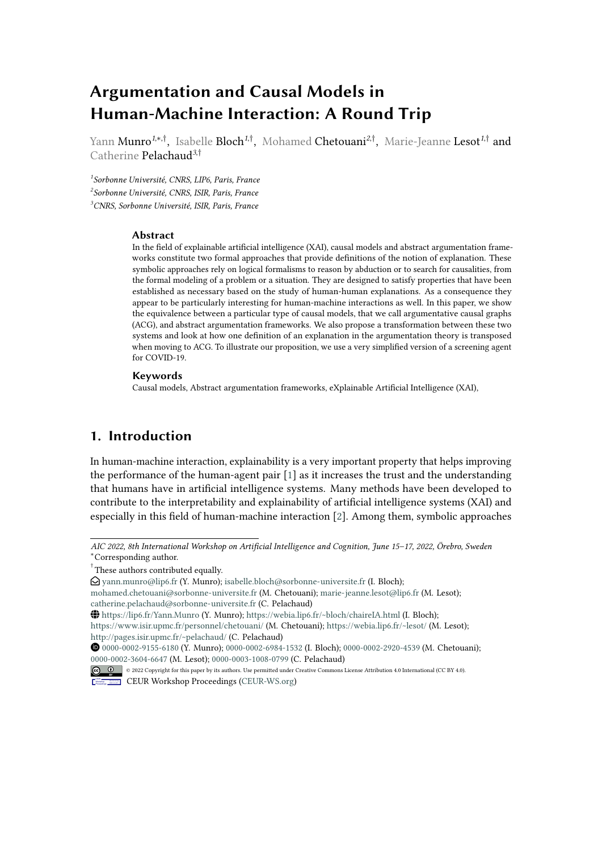# **Argumentation and Causal Models in Human-Machine Interaction: A Round Trip**

Yann **Munro<sup>1,\*,†</sup>,** Isabelle **Bloch<sup>1,†</sup>,** Mohamed **Chetouani<sup>2,†</sup>,** Marie-Jeanne **Lesot<sup>1,†</sup> and** Catherine Pelachaud*<sup>3</sup>*,†

*1 Sorbonne Université, CNRS, LIP6, Paris, France 2 Sorbonne Université, CNRS, ISIR, Paris, France <sup>3</sup>CNRS, Sorbonne Université, ISIR, Paris, France*

#### **Abstract**

In the field of explainable artificial intelligence (XAI), causal models and abstract argumentation frameworks constitute two formal approaches that provide definitions of the notion of explanation. These symbolic approaches rely on logical formalisms to reason by abduction or to search for causalities, from the formal modeling of a problem or a situation. They are designed to satisfy properties that have been established as necessary based on the study of human-human explanations. As a consequence they appear to be particularly interesting for human-machine interactions as well. In this paper, we show the equivalence between a particular type of causal models, that we call argumentative causal graphs (ACG), and abstract argumentation frameworks. We also propose a transformation between these two systems and look at how one definition of an explanation in the argumentation theory is transposed when moving to ACG. To illustrate our proposition, we use a very simplified version of a screening agent for COVID-19.

#### **Keywords**

Causal models, Abstract argumentation frameworks, eXplainable Artificial Intelligence (XAI),

# **1. Introduction**

In human-machine interaction, explainability is a very important property that helps improving the performance of the human-agent pair [\[1\]](#page-12-0) as it increases the trust and the understanding that humans have in artificial intelligence systems. Many methods have been developed to contribute to the interpretability and explainability of artificial intelligence systems (XAI) and especially in this field of human-machine interaction [\[2\]](#page-12-1). Among them, symbolic approaches

*AIC 2022, 8th International Workshop on Artificial Intelligence and Cognition, June 15–17, 2022, Örebro, Sweden* \*Corresponding author.

<sup>†</sup> These authors contributed equally.

 $\bigcirc$  vann.munro@lip6.fr (Y. Munro); [isabelle.bloch@sorbonne-universite.fr](mailto:isabelle.bloch@sorbonne-universite.fr) (I. Bloch);

[mohamed.chetouani@sorbonne-universite.fr](mailto:mohamed.chetouani@sorbonne-universite.fr) (M. Chetouani); [marie-jeanne.lesot@lip6.fr](mailto:marie-jeanne.lesot@lip6.fr) (M. Lesot); [catherine.pelachaud@sorbonne-universite.fr](mailto:catherine.pelachaud@sorbonne-universite.fr) (C. Pelachaud)

<https://lip6.fr/Yann.Munro> (Y. Munro); <https://webia.lip6.fr/~bloch/chaireIA.html> (I. Bloch);

<https://www.isir.upmc.fr/personnel/chetouani/> (M. Chetouani); <https://webia.lip6.fr/~lesot/> (M. Lesot); <http://pages.isir.upmc.fr/~pelachaud/> (C. Pelachaud)

[0000-0002-9155-6180](https://orcid.org/0000-0002-9155-6180) (Y. Munro); [0000-0002-6984-1532](https://orcid.org/0000-0002-6984-1532) (I. Bloch); [0000-0002-2920-4539](https://orcid.org/0000-0002-2920-4539) (M. Chetouani); [0000-0002-3604-6647](https://orcid.org/0000-0002-3604-6647) (M. Lesot); [0000-0003-1008-0799](https://orcid.org/0000-0003-1008-0799) (C. Pelachaud)

<sup>©</sup> 2022 Copyright for this paper by its authors. Use permitted under Creative Commons License Attribution 4.0 International (CC BY 4.0).

**CEUR Workshop [Proceedings](http://ceur-ws.org) [\(CEUR-WS.org\)](http://ceur-ws.org)**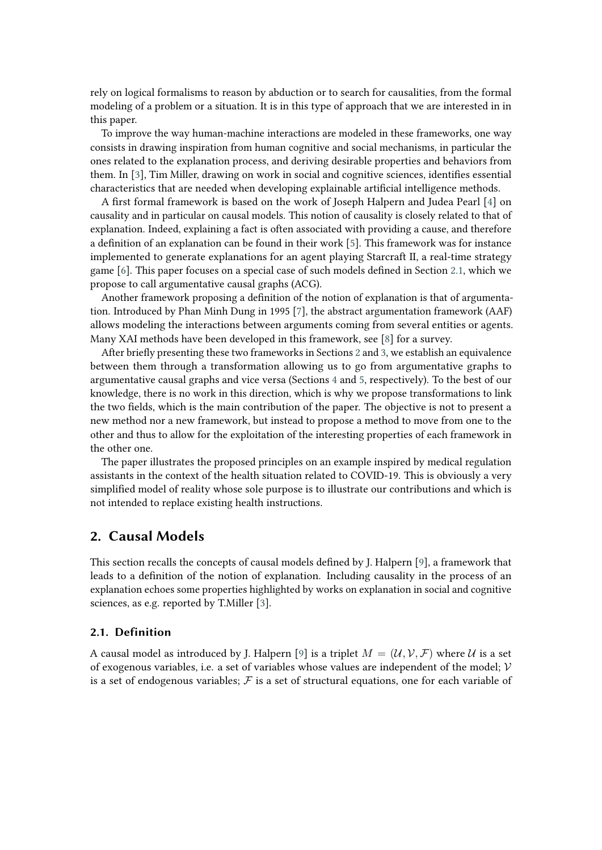rely on logical formalisms to reason by abduction or to search for causalities, from the formal modeling of a problem or a situation. It is in this type of approach that we are interested in in this paper.

To improve the way human-machine interactions are modeled in these frameworks, one way consists in drawing inspiration from human cognitive and social mechanisms, in particular the ones related to the explanation process, and deriving desirable properties and behaviors from them. In [\[3\]](#page-12-2), Tim Miller, drawing on work in social and cognitive sciences, identifies essential characteristics that are needed when developing explainable artificial intelligence methods.

A first formal framework is based on the work of Joseph Halpern and Judea Pearl [\[4\]](#page-12-3) on causality and in particular on causal models. This notion of causality is closely related to that of explanation. Indeed, explaining a fact is often associated with providing a cause, and therefore a definition of an explanation can be found in their work [\[5\]](#page-12-4). This framework was for instance implemented to generate explanations for an agent playing Starcraft II, a real-time strategy game [\[6\]](#page-13-0). This paper focuses on a special case of such models defined in Section [2.1,](#page-1-0) which we propose to call argumentative causal graphs (ACG).

Another framework proposing a definition of the notion of explanation is that of argumentation. Introduced by Phan Minh Dung in 1995 [\[7\]](#page-13-1), the abstract argumentation framework (AAF) allows modeling the interactions between arguments coming from several entities or agents. Many XAI methods have been developed in this framework, see [\[8\]](#page-13-2) for a survey.

After briefly presenting these two frameworks in Sections [2](#page-1-1) and [3,](#page-4-0) we establish an equivalence between them through a transformation allowing us to go from argumentative graphs to argumentative causal graphs and vice versa (Sections [4](#page-7-0) and [5,](#page-10-0) respectively). To the best of our knowledge, there is no work in this direction, which is why we propose transformations to link the two fields, which is the main contribution of the paper. The objective is not to present a new method nor a new framework, but instead to propose a method to move from one to the other and thus to allow for the exploitation of the interesting properties of each framework in the other one.

The paper illustrates the proposed principles on an example inspired by medical regulation assistants in the context of the health situation related to COVID-19. This is obviously a very simplified model of reality whose sole purpose is to illustrate our contributions and which is not intended to replace existing health instructions.

# <span id="page-1-1"></span>**2. Causal Models**

This section recalls the concepts of causal models defined by J. Halpern [\[9\]](#page-13-3), a framework that leads to a definition of the notion of explanation. Including causality in the process of an explanation echoes some properties highlighted by works on explanation in social and cognitive sciences, as e.g. reported by T.Miller [\[3\]](#page-12-2).

## <span id="page-1-0"></span>**2.1. Definition**

A causal model as introduced by J. Halpern [\[9\]](#page-13-3) is a triplet  $M = (\mathcal{U}, \mathcal{V}, \mathcal{F})$  where  $\mathcal{U}$  is a set of exogenous variables, i.e. a set of variables whose values are independent of the model;  $V$ is a set of endogenous variables;  $F$  is a set of structural equations, one for each variable of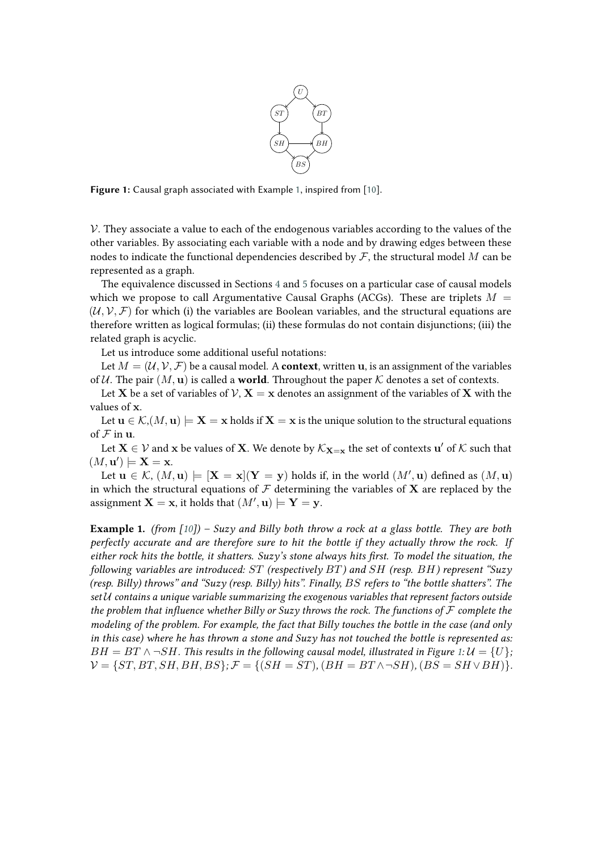

<span id="page-2-1"></span>**Figure 1:** Causal graph associated with Example [1,](#page-2-0) inspired from [\[10\]](#page-13-4).

 $V$ . They associate a value to each of the endogenous variables according to the values of the other variables. By associating each variable with a node and by drawing edges between these nodes to indicate the functional dependencies described by  $\mathcal F$ , the structural model  $M$  can be represented as a graph.

The equivalence discussed in Sections [4](#page-7-0) and [5](#page-10-0) focuses on a particular case of causal models which we propose to call Argumentative Causal Graphs (ACGs). These are triplets  $M =$  $(\mathcal{U}, \mathcal{V}, \mathcal{F})$  for which (i) the variables are Boolean variables, and the structural equations are therefore written as logical formulas; (ii) these formulas do not contain disjunctions; (iii) the related graph is acyclic.

Let us introduce some additional useful notations:

Let  $M = (\mathcal{U}, \mathcal{V}, \mathcal{F})$  be a causal model. A **context**, written **u**, is an assignment of the variables of U. The pair  $(M, u)$  is called a **world**. Throughout the paper K denotes a set of contexts.

Let **X** be a set of variables of  $V$ ,  $X = x$  denotes an assignment of the variables of X with the values of x.

Let  $u \in \mathcal{K}, (M, u) \models X = x$  holds if  $X = x$  is the unique solution to the structural equations of  $F$  in  $u$ .

Let  $\bf X\in \cal V$  and  $\bf x$  be values of  $\bf X$ . We denote by  $\mathcal K_{\bf X=x}$  the set of contexts  $\bf u'$  of  $\cal K$  such that  $(M, \mathbf{u}') \models \mathbf{X} = \mathbf{x}.$ 

Let  $\mathbf{u} \in \mathcal{K}$ ,  $(M, \mathbf{u}) \models [\mathbf{X} = \mathbf{x}] (\mathbf{Y} = \mathbf{y})$  holds if, in the world  $(M', \mathbf{u})$  defined as  $(M, \mathbf{u})$ in which the structural equations of  $\mathcal F$  determining the variables of **X** are replaced by the assignment  $X = x$ , it holds that  $(M', u) \models Y = y$ .

<span id="page-2-0"></span>**Example 1.** *(from [\[10\]](#page-13-4)) – Suzy and Billy both throw a rock at a glass bottle. They are both perfectly accurate and are therefore sure to hit the bottle if they actually throw the rock. If either rock hits the bottle, it shatters. Suzy's stone always hits first. To model the situation, the following variables are introduced: (respectively ) and (resp. ) represent "Suzy (resp. Billy) throws" and "Suzy (resp. Billy) hits". Finally, refers to "the bottle shatters". The set contains a unique variable summarizing the exogenous variables that represent factors outside the problem that influence whether Billy or Suzy throws the rock. The functions of*  $F$  *complete the modeling of the problem. For example, the fact that Billy touches the bottle in the case (and only in this case) where he has thrown a stone and Suzy has not touched the bottle is represented as:*  $BH = BT \land \neg SH$ . This results in the following causal model, illustrated in Figure [1:](#page-2-1)  $U = \{U\};$  $V = \{ST, BT, SH, BH, BS\};$   $\mathcal{F} = \{(SH = ST), (BH = BT \land \neg SH), (BS = SH \lor BH)\}.$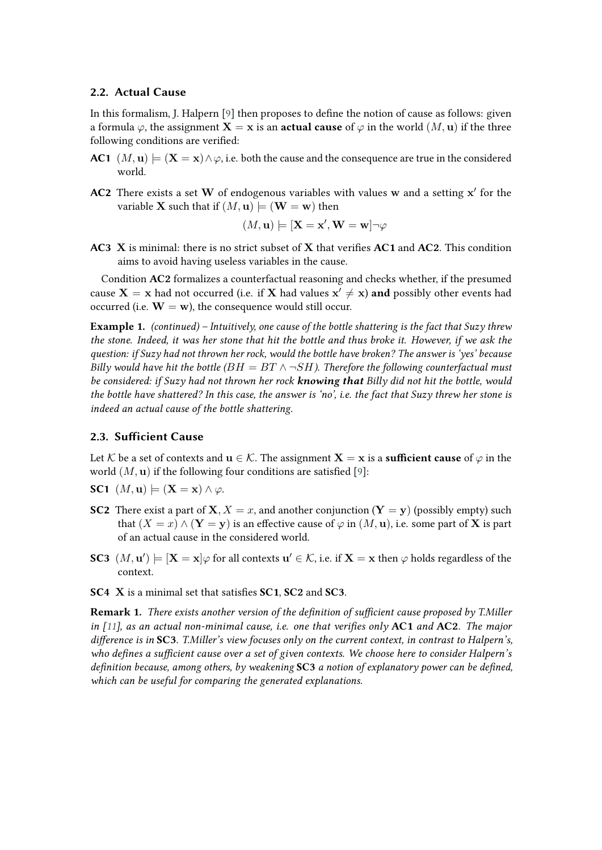## **2.2. Actual Cause**

In this formalism, J. Halpern [\[9\]](#page-13-3) then proposes to define the notion of cause as follows: given a formula  $\varphi$ , the assignment **X** = **x** is an **actual cause** of  $\varphi$  in the world  $(M, u)$  if the three following conditions are verified:

- **AC1**  $(M, u) \models (\mathbf{X} = \mathbf{x}) \land \varphi$ , i.e. both the cause and the consequence are true in the considered world.
- AC2 There exists a set W of endogenous variables with values w and a setting x' for the variable **X** such that if  $(M, u) \models (W = w)$  then

$$
(M, \mathbf{u}) \models [\mathbf{X} = \mathbf{x}', \mathbf{W} = \mathbf{w}] \neg \varphi
$$

**AC3** X is minimal: there is no strict subset of X that verifies **AC1** and **AC2**. This condition aims to avoid having useless variables in the cause.

Condition **AC2** formalizes a counterfactual reasoning and checks whether, if the presumed cause  $\mathbf{X} = \mathbf{x}$  had not occurred (i.e. if  $\mathbf{X}$  had values  $\mathbf{x}' \neq \mathbf{x}$ ) and possibly other events had occurred (i.e.  $\mathbf{W} = \mathbf{w}$ ), the consequence would still occur.

**Example 1.** *(continued) – Intuitively, one cause of the bottle shattering is the fact that Suzy threw the stone. Indeed, it was her stone that hit the bottle and thus broke it. However, if we ask the question: if Suzy had not thrown her rock, would the bottle have broken? The answer is 'yes' because Billy would have hit the bottle (* $BH = BT \land \neg SH$ *). Therefore the following counterfactual must be considered: if Suzy had not thrown her rock knowing that Billy did not hit the bottle, would the bottle have shattered? In this case, the answer is 'no', i.e. the fact that Suzy threw her stone is indeed an actual cause of the bottle shattering.*

## **2.3. Sufficient Cause**

Let K be a set of contexts and  $\mathbf{u} \in \mathcal{K}$ . The assignment  $\mathbf{X} = \mathbf{x}$  is a **sufficient cause** of  $\varphi$  in the world  $(M, \mathbf{u})$  if the following four conditions are satisfied [\[9\]](#page-13-3):

- **SC1**  $(M, u) \models (X = x) \land \varphi$ .
- **SC2** There exist a part of **X**,  $X = x$ , and another conjunction (**Y** = **y**) (possibly empty) such that  $(X = x) \wedge (Y = y)$  is an effective cause of  $\varphi$  in  $(M, u)$ , i.e. some part of X is part of an actual cause in the considered world.
- **SC3**  $(M, \mathbf{u}')$   $\models$   $[\mathbf{X} = \mathbf{x}] \varphi$  for all contexts  $\mathbf{u}' \in \mathcal{K}$ , i.e. if  $\mathbf{X} = \mathbf{x}$  then  $\varphi$  holds regardless of the context.
- **SC4** X is a minimal set that satisfies **SC1**, **SC2** and **SC3**.

**Remark 1.** *There exists another version of the definition of sufficient cause proposed by T.Miller in [\[11\]](#page-13-5), as an actual non-minimal cause, i.e. one that verifies only* **AC1** *and* **AC2***. The major difference is in* **SC3***. T.Miller's view focuses only on the current context, in contrast to Halpern's, who defines a sufficient cause over a set of given contexts. We choose here to consider Halpern's definition because, among others, by weakening* **SC3** *a notion of explanatory power can be defined, which can be useful for comparing the generated explanations.*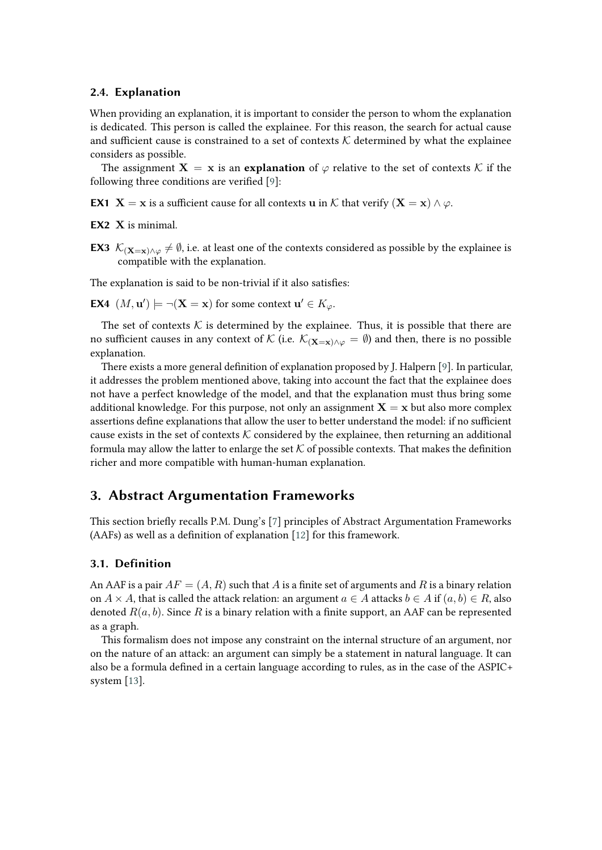## **2.4. Explanation**

When providing an explanation, it is important to consider the person to whom the explanation is dedicated. This person is called the explainee. For this reason, the search for actual cause and sufficient cause is constrained to a set of contexts  $K$  determined by what the explainee considers as possible.

The assignment  $X = x$  is an **explanation** of  $\varphi$  relative to the set of contexts K if the following three conditions are verified [\[9\]](#page-13-3):

**EX1 X** = **x** is a sufficient cause for all contexts **u** in  $K$  that verify  $(X = x) \wedge \varphi$ .

**EX2** X is minimal.

**EX3**  $\mathcal{K}_{(\mathbf{X}=\mathbf{x})\wedge\varphi}\neq\emptyset$ , i.e. at least one of the contexts considered as possible by the explainee is compatible with the explanation.

The explanation is said to be non-trivial if it also satisfies:

**EX4**  $(M, \mathbf{u}') \models \neg(\mathbf{X} = \mathbf{x})$  for some context  $\mathbf{u}' \in K_{\varphi}$ .

The set of contexts  $K$  is determined by the explainee. Thus, it is possible that there are no sufficient causes in any context of K (i.e.  $\mathcal{K}_{(\mathbf{X}=\mathbf{x})\wedge\varphi}=\emptyset$ ) and then, there is no possible explanation.

There exists a more general definition of explanation proposed by J. Halpern [\[9\]](#page-13-3). In particular, it addresses the problem mentioned above, taking into account the fact that the explainee does not have a perfect knowledge of the model, and that the explanation must thus bring some additional knowledge. For this purpose, not only an assignment  $X = x$  but also more complex assertions define explanations that allow the user to better understand the model: if no sufficient cause exists in the set of contexts  $K$  considered by the explainee, then returning an additional formula may allow the latter to enlarge the set  $K$  of possible contexts. That makes the definition richer and more compatible with human-human explanation.

# <span id="page-4-0"></span>**3. Abstract Argumentation Frameworks**

This section briefly recalls P.M. Dung's [\[7\]](#page-13-1) principles of Abstract Argumentation Frameworks (AAFs) as well as a definition of explanation [\[12\]](#page-13-6) for this framework.

## **3.1. Definition**

An AAF is a pair  $AF = (A, R)$  such that A is a finite set of arguments and R is a binary relation on  $A \times A$ , that is called the attack relation: an argument  $a \in A$  attacks  $b \in A$  if  $(a, b) \in R$ , also denoted  $R(a, b)$ . Since R is a binary relation with a finite support, an AAF can be represented as a graph.

<span id="page-4-1"></span>This formalism does not impose any constraint on the internal structure of an argument, nor on the nature of an attack: an argument can simply be a statement in natural language. It can also be a formula defined in a certain language according to rules, as in the case of the ASPIC+ system [\[13\]](#page-13-7).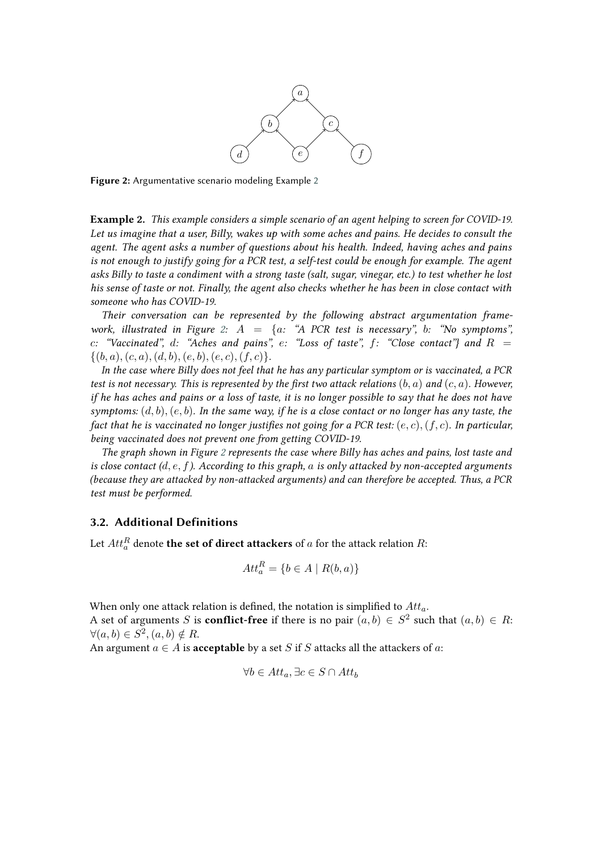

<span id="page-5-0"></span>**Figure 2:** Argumentative scenario modeling Example [2](#page-4-1)

**Example 2.** *This example considers a simple scenario of an agent helping to screen for COVID-19. Let us imagine that a user, Billy, wakes up with some aches and pains. He decides to consult the agent. The agent asks a number of questions about his health. Indeed, having aches and pains is not enough to justify going for a PCR test, a self-test could be enough for example. The agent asks Billy to taste a condiment with a strong taste (salt, sugar, vinegar, etc.) to test whether he lost his sense of taste or not. Finally, the agent also checks whether he has been in close contact with someone who has COVID-19.*

*Their conversation can be represented by the following abstract argumentation frame-work, illustrated in Figure [2:](#page-5-0)*  $A = \{a: \text{``A PCR test is necessary''}, b: \text{``No symptoms''},\}$ *c*: "Vaccinated", d: "Aches and pains", e: "Loss of taste",  $f$ : "Close contact" and  $R =$  $\{(b, a), (c, a), (d, b), (e, b), (e, c), (f, c)\}.$ 

*In the case where Billy does not feel that he has any particular symptom or is vaccinated, a PCR test is not necessary. This is represented by the first two attack relations*  $(b, a)$  *and*  $(c, a)$ *. However, if he has aches and pains or a loss of taste, it is no longer possible to say that he does not have symptoms:*  $(d, b)$ ,  $(e, b)$ . In the same way, if he is a close contact or no longer has any taste, the *fact that he is vaccinated no longer justifies not going for a PCR test:*  $(e, c)$ ,  $(f, c)$ *. In particular, being vaccinated does not prevent one from getting COVID-19.*

*The graph shown in Figure [2](#page-5-0) represents the case where Billy has aches and pains, lost taste and is close contact*  $(d, e, f)$ *. According to this graph, a is only attacked by non-accepted arguments (because they are attacked by non-attacked arguments) and can therefore be accepted. Thus, a PCR test must be performed.*

# **3.2. Additional Definitions**

Let  $Att^R_a$  denote **the set of direct attackers** of  $a$  for the attack relation  $R$ :

$$
Att_a^R = \{b \in A \mid R(b, a)\}
$$

When only one attack relation is defined, the notation is simplified to  $Att_a$ . A set of arguments S is **conflict-free** if there is no pair  $(a, b) \in S^2$  such that  $(a, b) \in R$ :  $\forall (a, b) \in S^2, (a, b) \notin R.$ 

An argument  $a \in A$  is **acceptable** by a set S if S attacks all the attackers of a:

$$
\forall b \in Att_a, \exists c \in S \cap Att_b
$$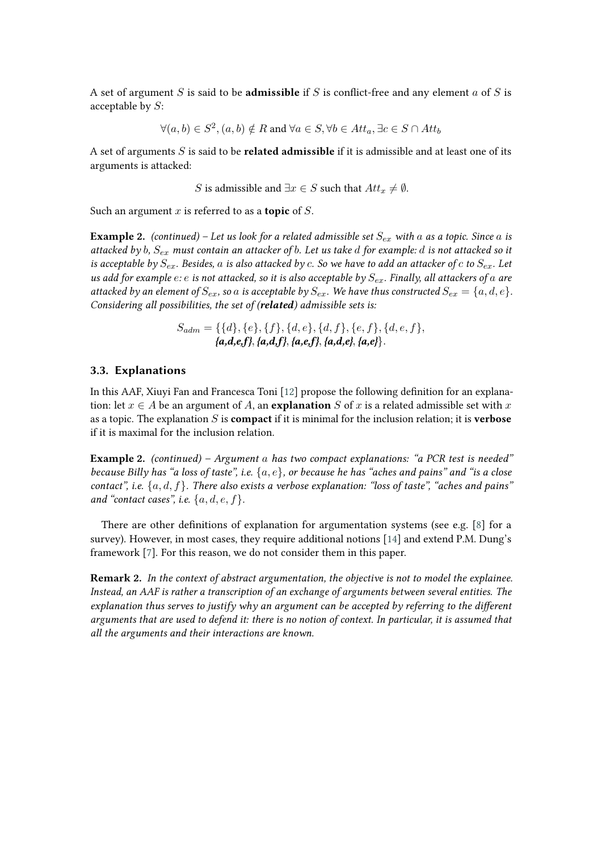A set of argument  $S$  is said to be **admissible** if  $S$  is conflict-free and any element  $a$  of  $S$  is acceptable by  $S$ :

$$
\forall (a, b) \in S^2, (a, b) \notin R \text{ and } \forall a \in S, \forall b \in Att_a, \exists c \in S \cap Att_b
$$

A set of arguments S is said to be **related admissible** if it is admissible and at least one of its arguments is attacked:

*S* is admissible and  $\exists x \in S$  such that  $Att_x \neq \emptyset$ .

Such an argument  $x$  is referred to as a **topic** of  $S$ .

**Example 2.** *(continued)* – Let us look for a related admissible set  $S_{ex}$  with a as a topic. Since a is *attacked by , must contain an attacker of . Let us take for example: is not attacked so it is acceptable by*  $S_{ex}$ . Besides, a is also attacked by c. So we have to add an attacker of c to  $S_{ex}$ . Let *us add for example e: e is not attacked, so it is also acceptable by*  $S_{ex}$ *. Finally, all attackers of a are attacked by an element of*  $S_{ex}$ , so  $a$  *is acceptable by*  $S_{ex}$ . We have thus constructed  $S_{ex} = \{a, d, e\}$ . *Considering all possibilities, the set of (related) admissible sets is:*

$$
S_{adm} = \{\{d\}, \{e\}, \{f\}, \{d, e\}, \{d, f\}, \{e, f\}, \{d, e, f\}, \{a,d,e,f\}, \{a,d,f\}, \{a,e,f\}, \{a,d,e\}, \{a,e\}\}.
$$

## **3.3. Explanations**

In this AAF, Xiuyi Fan and Francesca Toni [\[12\]](#page-13-6) propose the following definition for an explanation: let  $x \in A$  be an argument of A, an **explanation** S of x is a related admissible set with x as a topic. The explanation S is **compact** if it is minimal for the inclusion relation; it is **verbose** if it is maximal for the inclusion relation.

**Example 2.** *(continued) – Argument has two compact explanations: "a PCR test is needed" because Billy has "a loss of taste", i.e.*  $\{a, e\}$ , *or because he has "aches and pains" and "is a close contact", i.e.*  ${a, d, f}$ . There also exists a verbose explanation: "loss of taste", "aches and pains" *and "contact cases", i.e.*  $\{a, d, e, f\}.$ 

There are other definitions of explanation for argumentation systems (see e.g. [\[8\]](#page-13-2) for a survey). However, in most cases, they require additional notions [\[14\]](#page-13-8) and extend P.M. Dung's framework [\[7\]](#page-13-1). For this reason, we do not consider them in this paper.

**Remark 2.** *In the context of abstract argumentation, the objective is not to model the explainee. Instead, an AAF is rather a transcription of an exchange of arguments between several entities. The explanation thus serves to justify why an argument can be accepted by referring to the different arguments that are used to defend it: there is no notion of context. In particular, it is assumed that all the arguments and their interactions are known.*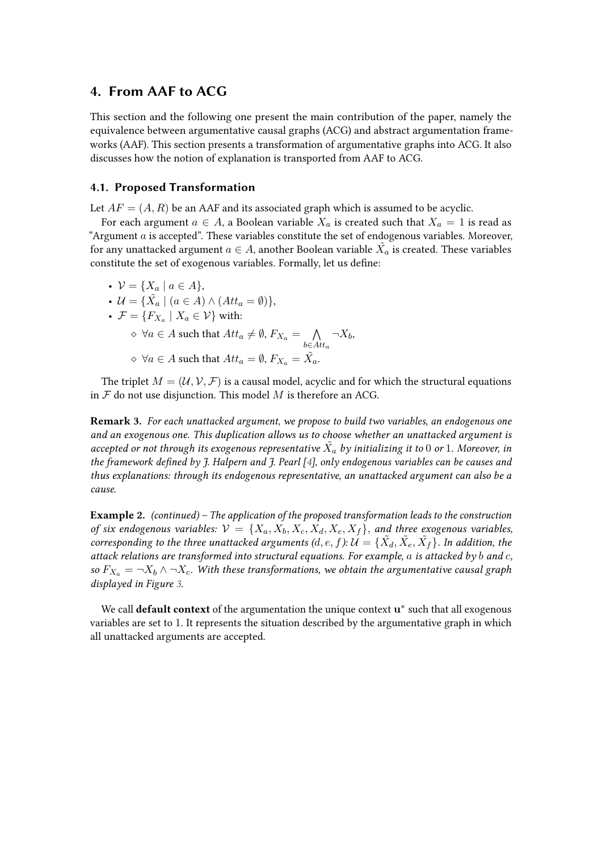# <span id="page-7-0"></span>**4. From AAF to ACG**

This section and the following one present the main contribution of the paper, namely the equivalence between argumentative causal graphs (ACG) and abstract argumentation frameworks (AAF). This section presents a transformation of argumentative graphs into ACG. It also discusses how the notion of explanation is transported from AAF to ACG.

## <span id="page-7-1"></span>**4.1. Proposed Transformation**

Let  $AF = (A, R)$  be an AAF and its associated graph which is assumed to be acyclic.

For each argument  $a \in A$ , a Boolean variable  $X_a$  is created such that  $X_a = 1$  is read as "Argument  $a$  is accepted". These variables constitute the set of endogenous variables. Moreover, for any unattacked argument  $a \in A$ , another Boolean variable  $\tilde{X_a}$  is created. These variables constitute the set of exogenous variables. Formally, let us define:

•  $V = \{ X_a \mid a \in A \},\$ •  $\mathcal{U} = {\{\tilde{X}_a \mid (a \in A) \land (Att_a = \emptyset)\}},$ •  $\mathcal{F} = \{F_{X_a} \mid X_a \in \mathcal{V}\}\$  with:  $\diamond \: \: \forall a \in A \text{ such that } Att_a \neq \emptyset, F_{X_a} = \; \: \: \bigwedge$  $b \in Att_a$  $\neg X_b$  $\diamond \: \: \forall a \in A \text{ such that } Att_a = \emptyset, F_{X_a} = \tilde{X_a}.$ 

The triplet  $M = (\mathcal{U}, \mathcal{V}, \mathcal{F})$  is a causal model, acyclic and for which the structural equations in  $\mathcal F$  do not use disjunction. This model  $M$  is therefore an ACG.

**Remark 3.** *For each unattacked argument, we propose to build two variables, an endogenous one and an exogenous one. This duplication allows us to choose whether an unattacked argument is* accepted or not through its exogenous representative  $\tilde{X}_a$  by initializing it to 0 or 1. Moreover, in *the framework defined by J. Halpern and J. Pearl [\[4\]](#page-12-3), only endogenous variables can be causes and thus explanations: through its endogenous representative, an unattacked argument can also be a cause.*

**Example 2.** *(continued) – The application of the proposed transformation leads to the construction of six endogenous variables:*  $V = \{X_a, X_b, X_c, X_d, X_e, X_f\}$ , and three exogenous variables, *corresponding to the three unattacked arguments*  $(d, e, f)$ *:*  $\mathcal{U} = \{ \tilde{X_d}, \tilde{X_e}, \tilde{X_f} \}$ . In addition, the *attack relations are transformed into structural equations. For example, is attacked by and , so*  $F_{X_a} = \neg X_b \wedge \neg X_c$ . With these transformations, we obtain the argumentative causal graph *displayed in Figure [3.](#page-8-0)*

We call **default context** of the argumentation the unique context  $u^*$  such that all exogenous variables are set to 1. It represents the situation described by the argumentative graph in which all unattacked arguments are accepted.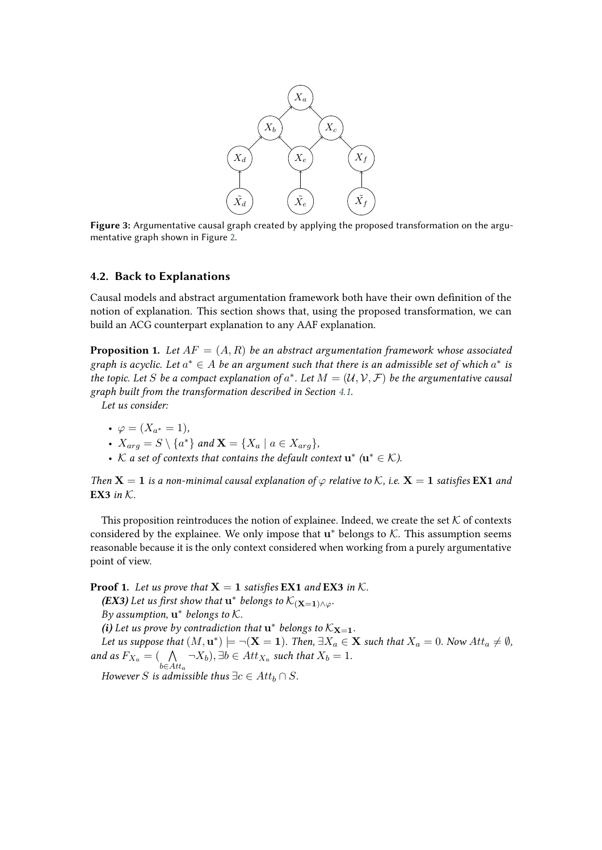

<span id="page-8-0"></span>**Figure 3:** Argumentative causal graph created by applying the proposed transformation on the argumentative graph shown in Figure [2.](#page-5-0)

## **4.2. Back to Explanations**

Causal models and abstract argumentation framework both have their own definition of the notion of explanation. This section shows that, using the proposed transformation, we can build an ACG counterpart explanation to any AAF explanation.

**Proposition 1.** Let  $AF = (A, R)$  be an abstract argumentation framework whose associated graph is acyclic. Let  $a^* \in A$  be an argument such that there is an admissible set of which  $a^*$  is *the topic. Let S be a compact explanation of*  $a^*$ *. Let*  $M = (\mathcal{U}, \mathcal{V}, \mathcal{F})$  *be the argumentative causal graph built from the transformation described in Section [4.1.](#page-7-1)*

*Let us consider:*

- $\varphi = (X_{a^*} = 1),$
- $X_{arg} = S \setminus \{a^*\}$  and  $\mathbf{X} = \{X_a \mid a \in X_{arg}\},\$
- $K$  a set of contexts that contains the default context  $\mathbf{u}^*$  ( $\mathbf{u}^* \in \mathcal{K}$ ).

*Then*  $X = 1$  *is a non-minimal causal explanation of*  $\varphi$  *relative to*  $K$ *, i.e.*  $X = 1$  *satisfies* **EX1** *and* **EX3** *in*  $K$ .

This proposition reintroduces the notion of explainee. Indeed, we create the set  $K$  of contexts considered by the explainee. We only impose that  $u^*$  belongs to  $K$ . This assumption seems reasonable because it is the only context considered when working from a purely argumentative point of view.

**Proof 1.** Let us prove that  $X = 1$  satisfies **EX1** and **EX3** in  $K$ . **(EX3)** Let us first show that  $\mathbf{u}^*$  belongs to  $\mathcal{K}_{(\mathbf{X}=\mathbf{1})\wedge\varphi}$ . By assumption,  $\mathbf{u}^*$  belongs to  $K$ . *(i)* Let us prove by contradiction that  $\mathbf{u}^*$  belongs to  $\mathcal{K}_{\mathbf{X}=1}$ . Let us suppose that  $(M, \mathbf{u}^*) \models \neg(\mathbf{X} = \mathbf{1})$ . Then,  $\exists X_a \in \mathbf{X}$  such that  $X_a = 0$ . Now  $Att_a \neq \emptyset$ , *and as*  $F_{X_a} = ( \Lambda)$  $b \in Att_a$  $\neg X_b$ ),  $\exists b \in Att_{X_a}$  such that  $X_b = 1$ . *However S* is admissible thus  $\exists c \in Att_b \cap S$ .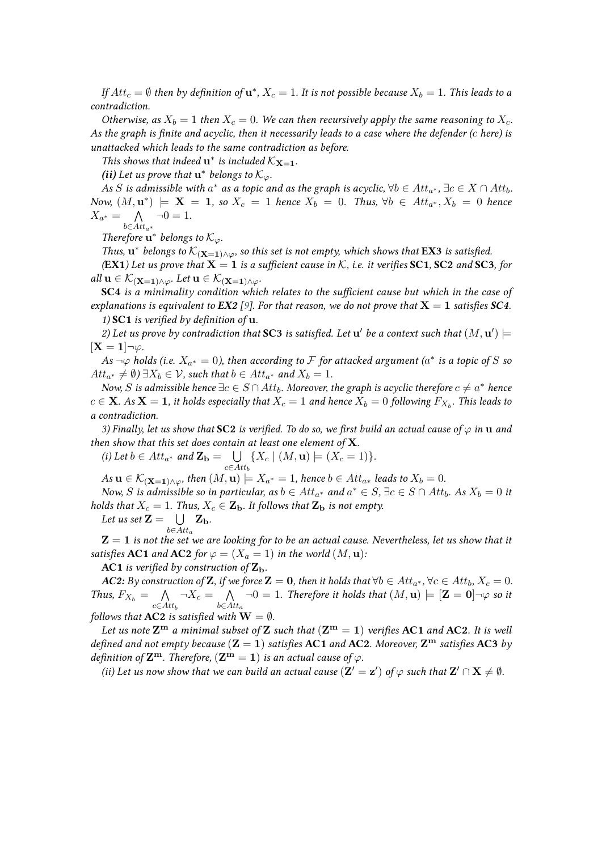*If*  $Att_c = \emptyset$  then by definition of  $\mathbf{u}^*$ ,  $X_c = 1$ . It is not possible because  $X_b = 1$ . This leads to a *contradiction.*

*Otherwise, as*  $X_b = 1$  *then*  $X_c = 0$ *. We can then recursively apply the same reasoning to*  $X_c$ *. As the graph is finite and acyclic, then it necessarily leads to a case where the defender ( here) is unattacked which leads to the same contradiction as before.*

*This shows that indeed*  $\mathbf{u}^*$  *is included*  $K_{\mathbf{X}=\mathbf{1}}$ *.* 

(*ii*) Let us prove that  $\mathbf{u}^*$  belongs to  $\mathcal{K}_{\varphi}$ .

As  $S$  is admissible with  $a^*$  as a topic and as the graph is acyclic,  $\forall b \in Att_{a^*}, \exists c \in X \cap Att_b$ .  $Now, (M, \mathbf{u}^*)$   $\models$  **X** = **1**, so  $X_c$  = 1 *hence*  $X_b$  = 0. *Thus,*  $\forall b \in At_{a^*}, X_b$  = 0 *hence*  $X_{a^*} = \bigwedge$  $b \in Att_a*$  $\neg 0 = 1.$ 

*Therefore*  $\mathbf{\bar{u}}^*$  *belongs to*  $\mathcal{K}_{\varphi}$ *.* 

*Thus,*  $\mathbf{u}^*$  belongs to  $\mathcal{K}_{(\mathbf{X}=\mathbf{1}) \wedge \varphi}$ , so this set is not empty, which shows that **EX3** *is satisfied. (***EX1***)* Let us prove that  $X = 1$  *is a sufficient cause in*  $K$ *, i.e. it verifies* **SC1***,* **SC2** *and* **SC3***, for all*  $\mathbf{u} \in \mathcal{K}_{(\mathbf{X}=\mathbf{1}) \wedge \varphi}$ . Let  $\mathbf{u} \in \mathcal{K}_{(\mathbf{X}=\mathbf{1}) \wedge \varphi}$ .

**SC4** *is a minimality condition which relates to the sufficient cause but which in the case of explanations is equivalent to EX2* [\[9\]](#page-13-3)*. For that reason, we do not prove that*  $X = 1$  *satisfies SC4.* 

*1)* **SC1** *is verified by definition of* u*.*

2) Let us prove by contradiction that **SC3** is satisfied. Let  $\mathbf{u}'$  be a context such that  $(M, \mathbf{u}') \models$  $[\mathbf{X} = \mathbf{1}] \neg \varphi$ .

As  $\neg \varphi$  holds (i.e.  $X_{a^*} = 0$ ), then according to  $\mathcal F$  for attacked argument ( $a^*$  is a topic of  $S$  so  $Att_{a^*} \neq \emptyset$ )  $\exists X_b \in \mathcal{V}$ , such that  $b \in Att_{a^*}$  and  $X_b = 1$ .

*Now,*  $S$  *is admissible hence*  $\exists c \in S \cap Att_b$ . Moreover, the graph is acyclic therefore  $c \neq a^\ast$  hence  $c \in \mathbf{X}$ . As  $\mathbf{X} = \mathbf{1}$ , it holds especially that  $X_c = 1$  and hence  $X_b = 0$  following  $F_{X_b}.$  This leads to *a contradiction.*

*3) Finally, let us show that* **SC2** *is verified. To do so, we first build an actual cause of*  $\varphi$  *in* **u** *and then show that this set does contain at least one element of* X*.*

(i) Let 
$$
b \in Att_{a^*}
$$
 and  $\mathbf{Z_b} = \bigcup_{c \in Att_b} \{X_c \mid (M, \mathbf{u}) \models (X_c = 1)\}.$ 

 $A$ s  $\mathbf{u} \in \mathcal{K}_{(\mathbf{X}=\mathbf{1})\wedge\varphi}$ , then  $(M,\mathbf{u})\models X_{a^*}=1$ , hence  $b\in Att_{a*}$  leads to  $X_b=0$ .

*Now, S is admissible so in particular, as*  $b \in Att_{a^*}$  and  $a^* \in S$ ,  $\exists c \in S \cap Att_b$ . As  $X_b = 0$  it *holds that*  $X_c = 1$ *. Thus,*  $X_c \in \mathbf{Z_b}$ *. It follows that*  $\mathbf{Z_b}$  *is not empty.* 

*Let us set*  $\mathbf{Z} = \cup$  $b \in Att_a$  $\rm Z_b$ .

 $Z = 1$  is not the set we are looking for to be an actual cause. Nevertheless, let us show that it *satisfies* **AC1** *and* **AC2** *for*  $\varphi = (X_a = 1)$  *in the world*  $(M, \mathbf{u})$ *:* 

**AC1** *is verified by construction of*  $\mathbf{Z}_b$ *.* 

 $\bm{AC2:}$  By construction of  $\mathbf{Z}$ , if we force  $\mathbf{Z}=\bm{0},$  then it holds that  $\forall b \in Att_{a^*}, \forall c \in Att_b, X_c = 0.$ *Thus,*  $F_{X_b} = \bigwedge$  $c \in Att_b$  $\neg X_c = \bigwedge$  $b \in Att_a$  $\neg 0 = 1$ *. Therefore it holds that*  $(M, u) \models [Z = 0] \neg \varphi$  so it *follows that* **AC2** *is satisfied with*  $W = \emptyset$ *.* 

*Let us note*  $\mathbf{Z}^{\mathbf{m}}$  *a minimal subset of*  $\mathbf{Z}$  *such that*  $(\mathbf{Z}^{\mathbf{m}} = 1)$  *verifies* **AC1** *and* **AC2***. It is well defined and not empty because*  $(Z = 1)$  *satisfies* **AC1** *and* **AC2***. Moreover*,  $Z<sup>m</sup>$  *satisfies* **AC3** *by definition of*  $\mathbf{Z}^{\mathbf{m}}$ *. Therefore,*  $(\mathbf{Z}^{\mathbf{m}} = 1)$  *is an actual cause of*  $\varphi$ *.* 

*(ii)* Let us now show that we can build an actual cause  $(Z' = z')$  of  $\varphi$  such that  $Z' \cap X \neq \emptyset$ .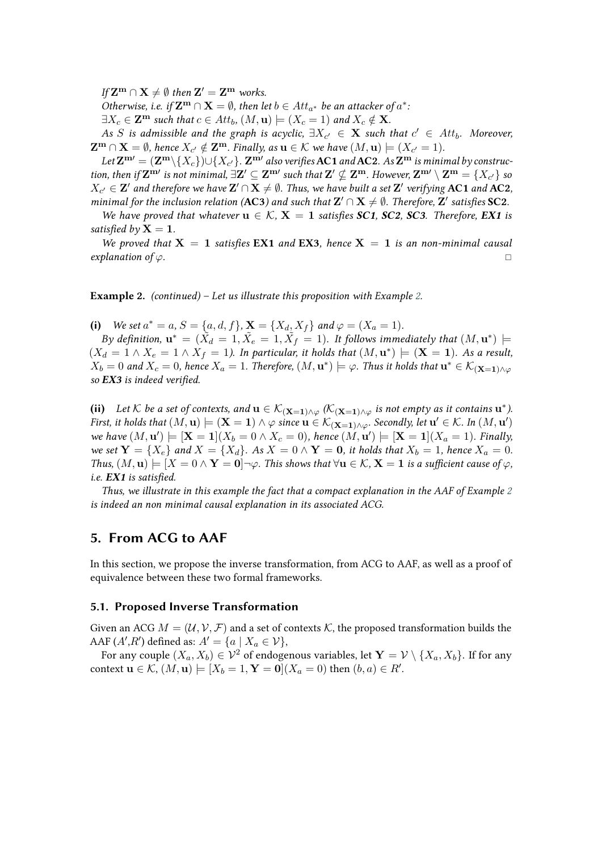$\int d\mathbf{Z}^{\mathbf{m}} \cap \mathbf{X} \neq \emptyset$  then  $\mathbf{Z}' = \mathbf{Z}^{\mathbf{m}}$  works.

*Otherwise, i.e.* if  $\mathbf{Z}^{\mathbf{m}} \cap \mathbf{X} = \emptyset$ , then let  $b \in Att_{a^*}$  be an attacker of  $a^*$ .

 $\exists X_c \in \mathbf{Z}^m$  *such that*  $c \in Att_b$ ,  $(M, \mathbf{u}) \models (X_c = 1)$  *and*  $X_c \notin \mathbf{X}$ *.* 

As S is admissible and the graph is acyclic,  $\exists X_{c'} \in \mathbf{X}$  such that  $c' \in Att_b$ . Moreover,  $\mathbf{Z^m} \cap \mathbf{X} = \emptyset$ , hence  $X_{c'} \notin \mathbf{Z^m}$ . Finally, as  $\mathbf{u} \in \mathcal{K}$  we have  $(M, \mathbf{u}) \models (X_{c'} = 1)$ .

 $L$ et  $\mathbf{Z^{m}}=(\mathbf{Z^{m}}\backslash\{X_c\})\cup\{X_{c'}\}$ .  $\mathbf{Z^{m'}}$  also verifies **AC1** and **AC2**. As  $\mathbf{Z^{m}}$  is minimal by construc*tion, then if*  $\mathbf{Z}^{\mathbf{m'}}$  *is not minimal,*  $\exists \mathbf{Z}' \subseteq \mathbf{Z}^{\mathbf{m'}}$  *such that*  $\mathbf{Z}' \nsubseteq \mathbf{Z}^{\mathbf{m}}$ *. However,*  $\mathbf{Z}^{\mathbf{m'}} \setminus \mathbf{Z}^{\mathbf{m}} = \{X_{c'}\}$  *so*  $X_{c'} \in \mathbf{Z}'$  and therefore we have  $\mathbf{Z}' \cap \mathbf{X} \neq \emptyset$ . Thus, we have built a set  $\mathbf{Z}'$  verifying AC1 and AC2, *minimal for the inclusion relation (AC3) and such that*  $\mathbf{Z}' \cap \mathbf{X} \neq \emptyset$ *. Therefore,*  $\mathbf{Z}'$  satisfies SC2.

*We have proved that whatever*  $\mathbf{u} \in \mathcal{K}$ ,  $\mathbf{X} = 1$  *satisfies SC1, SC2, SC3. Therefore, EX1 is satisfied by*  $X = 1$ *.* 

*We proved that*  $X = 1$  *satisfies* **EX1** *and* **EX3***, hence*  $X = 1$  *is an non-minimal causal explanation of*  $\varphi$ .

**Example 2.** *(continued) – Let us illustrate this proposition with Example [2.](#page-5-0)*

(i) *We set*  $a^* = a$ ,  $S = \{a, d, f\}$ ,  $\mathbf{X} = \{X_d, X_f\}$  and  $\varphi = (X_a = 1)$ *.* 

*By definition,*  $\mathbf{u}^* = (\tilde{X}_d = 1, \tilde{X}_e = 1, \tilde{X}_f = 1)$ . It follows immediately that  $(M, \mathbf{u}^*)$   $\models$  $(X_d = 1 \wedge X_e = 1 \wedge X_f = 1)$ . In particular, it holds that  $(M, \mathbf{u}^*) \models (\mathbf{X} = \mathbf{1})$ . As a result,  $X_b = 0$  and  $X_c = 0$ , hence  $X_a = 1$ . Therefore,  $(M, \mathbf{u}^*) \models \varphi$ . Thus it holds that  $\mathbf{u}^* \in \mathcal{K}_{(\mathbf{X} = \mathbf{1}) \wedge \varphi}$ *so EX3 is indeed verified.*

(ii) Let K be a set of contexts, and  $\mathbf{u} \in \mathcal{K}_{(\mathbf{X}=\mathbf{1}) \wedge \varphi}$  ( $\mathcal{K}_{(\mathbf{X}=\mathbf{1}) \wedge \varphi}$  is not empty as it contains  $\mathbf{u}^*$ ). *First, it holds that*  $(M, \mathbf{u}) \models (\mathbf{X} = \mathbf{1}) \land \varphi$  since  $\mathbf{u} \in \mathcal{K}_{(\mathbf{X} = \mathbf{1}) \land \varphi}$ . Secondly, let  $\mathbf{u}' \in \mathcal{K}$ . In  $(M, \mathbf{u}')$  $w$ e have  $(M, u') \models [\mathbf{X} = 1](X_b = 0 \land X_c = 0)$ , hence  $(M, u') \models [\mathbf{X} = 1](X_a = 1)$ . Finally, *we set*  $Y = \{X_e\}$  *and*  $X = \{X_d\}$ *. As*  $X = 0 \wedge Y = 0$ *, it holds that*  $X_b = 1$ *, hence*  $X_a = 0$ *. Thus,*  $(M, u) \models [X = 0 \land Y = 0] \neg \varphi$ . This shows that  $\forall u \in K$ ,  $X = 1$  *is a sufficient cause of*  $\varphi$ , *i.e. EX1 is satisfied.*

*Thus, we illustrate in this example the fact that a compact explanation in the AAF of Example [2](#page-4-1) is indeed an non minimal causal explanation in its associated ACG.*

# <span id="page-10-0"></span>**5. From ACG to AAF**

In this section, we propose the inverse transformation, from ACG to AAF, as well as a proof of equivalence between these two formal frameworks.

#### **5.1. Proposed Inverse Transformation**

Given an ACG  $M = (\mathcal{U}, \mathcal{V}, \mathcal{F})$  and a set of contexts K, the proposed transformation builds the AAF  $(A', R')$  defined as:  $A' = \{a \mid X_a \in \mathcal{V}\},\$ 

For any couple  $(X_a, X_b) \in \mathcal{V}^2$  of endogenous variables, let  $\mathbf{Y} = \mathcal{V} \setminus \{X_a, X_b\}$ . If for any context  $\mathbf{u} \in \mathcal{K}$ ,  $(M, \mathbf{u}) \models [X_b = 1, \mathbf{Y} = \mathbf{0}](X_a = 0)$  then  $(b, a) \in R'$ .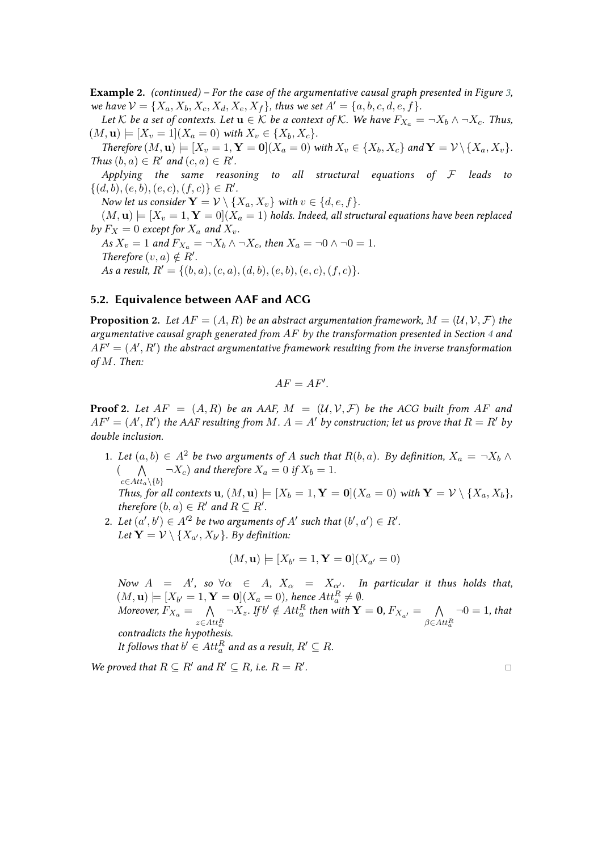**Example 2.** *(continued) – For the case of the argumentative causal graph presented in Figure [3,](#page-8-0) we have*  $V = \{X_a, X_b, X_c, X_d, X_e, X_f\}$ , thus we set  $A' = \{a, b, c, d, e, f\}$ .

*Let*  $K$  *be a set of contexts. Let*  $\mathbf{u} \in K$  *be a context of*  $K$ *. We have*  $F_{X_a} = \neg X_b \land \neg X_c$ *. Thus,*  $(M, u) \models [X_v = 1](X_a = 0)$  with  $X_v \in \{X_b, X_c\}.$ 

*Therefore*  $(M, u) \models [X_v = 1, Y = 0]$   $(X_a = 0)$  *with*  $X_v \in \{X_b, X_c\}$  *and*  $Y = V \setminus \{X_a, X_v\}$ *. Thus*  $(b, a) \in R'$  *and*  $(c, a) \in R'$ *.* 

*Applying the same reasoning to all structural equations of* ℱ *leads to*  $\{(d, b), (e, b), (e, c), (f, c)\}\in R'.$ 

*Now let us consider*  $\mathbf{Y} = \mathcal{V} \setminus \{X_a, X_v\}$  *with*  $v \in \{d, e, f\}.$ 

 $(M, u) \models [X_v = 1, Y = 0](X_a = 1)$  holds. Indeed, all structural equations have been replaced *by*  $F_X = 0$  *except for*  $X_a$  *and*  $X_v$ *.* 

*As*  $X_v = 1$  *and*  $F_{X_a} = \neg X_b \land \neg X_c$ , *then*  $X_a = \neg 0 \land \neg 0 = 1$ *. Therefore*  $(v, a) \notin R'$ *. As a result,*  $R' = \{(b, a), (c, a), (d, b), (e, b), (e, c), (f, c)\}.$ 

## **5.2. Equivalence between AAF and ACG**

**Proposition 2.** Let  $AF = (A, R)$  be an abstract argumentation framework,  $M = (\mathcal{U}, \mathcal{V}, \mathcal{F})$  the *argumentative causal graph generated from by the transformation presented in Section [4](#page-7-0) and*  $AF' = (A', R')$  the abstract argumentative framework resulting from the inverse transformation *of . Then:*

$$
AF=AF'.
$$

**Proof 2.** Let  $AF = (A, R)$  be an AAF,  $M = (U, V, F)$  be the ACG built from AF and  $AF' = (A', R')$  the AAF resulting from M.  $A = A'$  by construction; let us prove that  $R = R'$  by *double inclusion.*

- 1. Let  $(a, b) \in A^2$  be two arguments of A such that  $R(b, a)$ . By definition,  $X_a = \neg X_b \wedge \neg X_a$  $($   $\wedge$  $c∈Att_a\setminus\{b\}$  $\neg X_c$ ) and therefore  $X_a = 0$  if  $X_b = 1$ . *Thus, for all contexts*  $\mathbf{u}$ *,*  $(M, \mathbf{u}) \models [X_b = 1, \mathbf{Y} = \mathbf{0}] (X_a = 0)$  *with*  $\mathbf{Y} = \mathcal{V} \setminus \{X_a, X_b\}$ *, therefore*  $(b, a) \in R'$  *and*  $R \subseteq R'$ *.*
- 2. Let  $(a', b') \in A'^2$  be two arguments of  $A'$  such that  $(b', a') \in R'$ . Let  $\mathbf{Y} = \mathcal{V} \setminus \{X_{a'}, X_{b'}\}.$  By definition:

$$
(M, \mathbf{u}) \models [X_{b'} = 1, \mathbf{Y} = \mathbf{0}](X_{a'} = 0)
$$

*Now*  $A = A'$ , so  $\forall \alpha \in A$ ,  $X_{\alpha} = X_{\alpha'}$ . In particular it thus holds that,  $(M, \mathbf{u}) \models [X_{b'} = 1, \mathbf{Y} = \mathbf{0}](X_a = 0)$ , hence  $Att_a^R \neq \emptyset$ . Moreover,  $F_{X_a} = -\bigwedge$  $z \in Att_a^R$  $\neg X_z$ . If  $b' \notin Att_a^R$  then with  $\mathbf{Y} = \mathbf{0}$ ,  $F_{X_{a'}} = \bigwedge$  $\beta \in Att_a^R$  $\neg 0 = 1$ *, that contradicts the hypothesis.* It follows that  $b' \in Att_a^R$  and as a result,  $R' \subseteq R$ .

*We proved that*  $R \subseteq R'$  *and*  $R' \subseteq R$ *, i.e.*  $R = R'$ *.*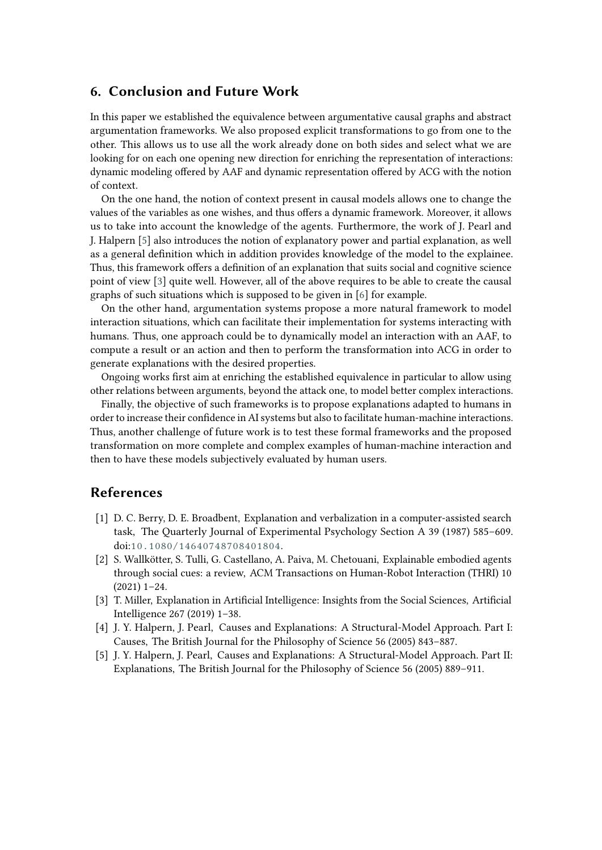# **6. Conclusion and Future Work**

In this paper we established the equivalence between argumentative causal graphs and abstract argumentation frameworks. We also proposed explicit transformations to go from one to the other. This allows us to use all the work already done on both sides and select what we are looking for on each one opening new direction for enriching the representation of interactions: dynamic modeling offered by AAF and dynamic representation offered by ACG with the notion of context.

On the one hand, the notion of context present in causal models allows one to change the values of the variables as one wishes, and thus offers a dynamic framework. Moreover, it allows us to take into account the knowledge of the agents. Furthermore, the work of J. Pearl and J. Halpern [\[5\]](#page-12-4) also introduces the notion of explanatory power and partial explanation, as well as a general definition which in addition provides knowledge of the model to the explainee. Thus, this framework offers a definition of an explanation that suits social and cognitive science point of view [\[3\]](#page-12-2) quite well. However, all of the above requires to be able to create the causal graphs of such situations which is supposed to be given in [\[6\]](#page-13-0) for example.

On the other hand, argumentation systems propose a more natural framework to model interaction situations, which can facilitate their implementation for systems interacting with humans. Thus, one approach could be to dynamically model an interaction with an AAF, to compute a result or an action and then to perform the transformation into ACG in order to generate explanations with the desired properties.

Ongoing works first aim at enriching the established equivalence in particular to allow using other relations between arguments, beyond the attack one, to model better complex interactions.

Finally, the objective of such frameworks is to propose explanations adapted to humans in order to increase their confidence in AI systems but also to facilitate human-machine interactions. Thus, another challenge of future work is to test these formal frameworks and the proposed transformation on more complete and complex examples of human-machine interaction and then to have these models subjectively evaluated by human users.

# **References**

- <span id="page-12-0"></span>[1] D. C. Berry, D. E. Broadbent, Explanation and verbalization in a computer-assisted search task, The Quarterly Journal of Experimental Psychology Section A 39 (1987) 585–609. doi:[10.1080/14640748708401804](http://dx.doi.org/10.1080/14640748708401804).
- <span id="page-12-1"></span>[2] S. Wallkötter, S. Tulli, G. Castellano, A. Paiva, M. Chetouani, Explainable embodied agents through social cues: a review, ACM Transactions on Human-Robot Interaction (THRI) 10 (2021) 1–24.
- <span id="page-12-2"></span>[3] T. Miller, Explanation in Artificial Intelligence: Insights from the Social Sciences, Artificial Intelligence 267 (2019) 1–38.
- <span id="page-12-3"></span>[4] J. Y. Halpern, J. Pearl, Causes and Explanations: A Structural-Model Approach. Part I: Causes, The British Journal for the Philosophy of Science 56 (2005) 843–887.
- <span id="page-12-4"></span>[5] J. Y. Halpern, J. Pearl, Causes and Explanations: A Structural-Model Approach. Part II: Explanations, The British Journal for the Philosophy of Science 56 (2005) 889–911.